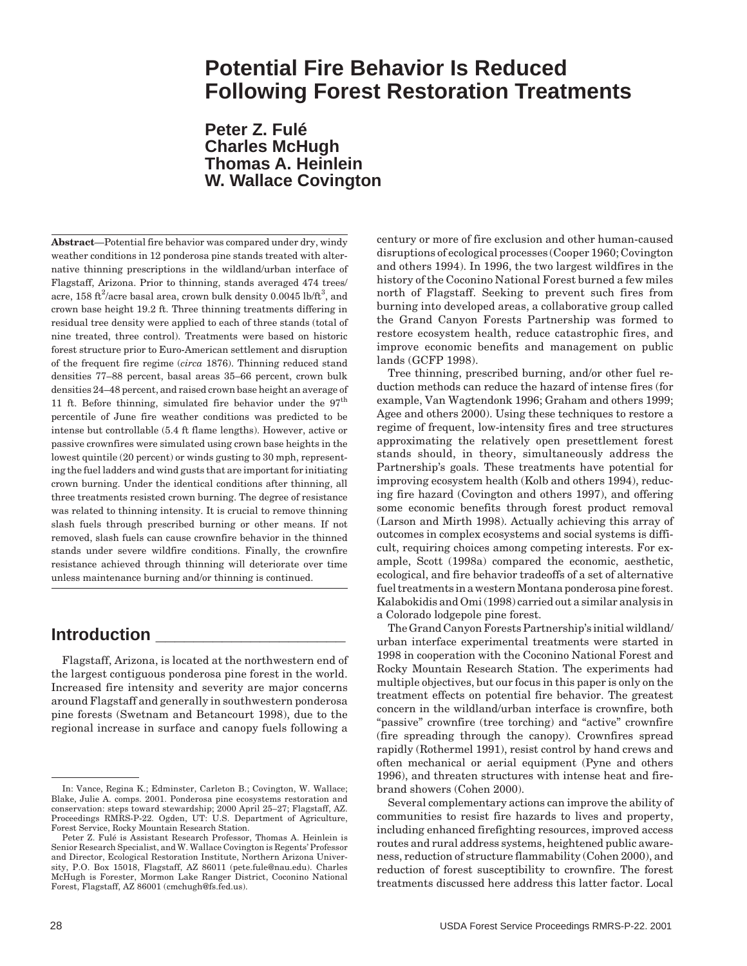# **Potential Fire Behavior Is Reduced Following Forest Restoration Treatments**

**Peter Z. Fulé Charles McHugh Thomas A. Heinlein W. Wallace Covington**

**Abstract**—Potential fire behavior was compared under dry, windy weather conditions in 12 ponderosa pine stands treated with alternative thinning prescriptions in the wildland/urban interface of Flagstaff, Arizona. Prior to thinning, stands averaged 474 trees/ acre, 158 ft $^2$ /acre basal area, crown bulk density 0.0045 lb/ft $^3$ , and crown base height 19.2 ft. Three thinning treatments differing in residual tree density were applied to each of three stands (total of nine treated, three control). Treatments were based on historic forest structure prior to Euro-American settlement and disruption of the frequent fire regime (*circa* 1876). Thinning reduced stand densities 77–88 percent, basal areas 35–66 percent, crown bulk densities 24–48 percent, and raised crown base height an average of 11 ft. Before thinning, simulated fire behavior under the  $97<sup>th</sup>$ percentile of June fire weather conditions was predicted to be intense but controllable (5.4 ft flame lengths). However, active or passive crownfires were simulated using crown base heights in the lowest quintile (20 percent) or winds gusting to 30 mph, representing the fuel ladders and wind gusts that are important for initiating crown burning. Under the identical conditions after thinning, all three treatments resisted crown burning. The degree of resistance was related to thinning intensity. It is crucial to remove thinning slash fuels through prescribed burning or other means. If not removed, slash fuels can cause crownfire behavior in the thinned stands under severe wildfire conditions. Finally, the crownfire resistance achieved through thinning will deteriorate over time unless maintenance burning and/or thinning is continued.

## **Introduction \_\_\_\_\_\_\_\_\_\_\_\_\_\_\_\_\_\_\_\_**

Flagstaff, Arizona, is located at the northwestern end of the largest contiguous ponderosa pine forest in the world. Increased fire intensity and severity are major concerns around Flagstaff and generally in southwestern ponderosa pine forests (Swetnam and Betancourt 1998), due to the regional increase in surface and canopy fuels following a

century or more of fire exclusion and other human-caused disruptions of ecological processes (Cooper 1960; Covington and others 1994). In 1996, the two largest wildfires in the history of the Coconino National Forest burned a few miles north of Flagstaff. Seeking to prevent such fires from burning into developed areas, a collaborative group called the Grand Canyon Forests Partnership was formed to restore ecosystem health, reduce catastrophic fires, and improve economic benefits and management on public lands (GCFP 1998).

Tree thinning, prescribed burning, and/or other fuel reduction methods can reduce the hazard of intense fires (for example, Van Wagtendonk 1996; Graham and others 1999; Agee and others 2000). Using these techniques to restore a regime of frequent, low-intensity fires and tree structures approximating the relatively open presettlement forest stands should, in theory, simultaneously address the Partnership's goals. These treatments have potential for improving ecosystem health (Kolb and others 1994), reducing fire hazard (Covington and others 1997), and offering some economic benefits through forest product removal (Larson and Mirth 1998). Actually achieving this array of outcomes in complex ecosystems and social systems is difficult, requiring choices among competing interests. For example, Scott (1998a) compared the economic, aesthetic, ecological, and fire behavior tradeoffs of a set of alternative fuel treatments in a western Montana ponderosa pine forest. Kalabokidis and Omi (1998) carried out a similar analysis in a Colorado lodgepole pine forest.

The Grand Canyon Forests Partnership's initial wildland/ urban interface experimental treatments were started in 1998 in cooperation with the Coconino National Forest and Rocky Mountain Research Station. The experiments had multiple objectives, but our focus in this paper is only on the treatment effects on potential fire behavior. The greatest concern in the wildland/urban interface is crownfire, both "passive" crownfire (tree torching) and "active" crownfire (fire spreading through the canopy). Crownfires spread rapidly (Rothermel 1991), resist control by hand crews and often mechanical or aerial equipment (Pyne and others 1996), and threaten structures with intense heat and firebrand showers (Cohen 2000).

Several complementary actions can improve the ability of communities to resist fire hazards to lives and property, including enhanced firefighting resources, improved access routes and rural address systems, heightened public awareness, reduction of structure flammability (Cohen 2000), and reduction of forest susceptibility to crownfire. The forest treatments discussed here address this latter factor. Local

In: Vance, Regina K.; Edminster, Carleton B.; Covington, W. Wallace; Blake, Julie A. comps. 2001. Ponderosa pine ecosystems restoration and conservation: steps toward stewardship; 2000 April 25–27; Flagstaff, AZ. Proceedings RMRS-P-22. Ogden, UT: U.S. Department of Agriculture, Forest Service, Rocky Mountain Research Station.

Peter Z. Fulé is Assistant Research Professor, Thomas A. Heinlein is Senior Research Specialist, and W. Wallace Covington is Regents' Professor and Director, Ecological Restoration Institute, Northern Arizona University, P.O. Box 15018, Flagstaff, AZ 86011 (pete.fule@nau.edu). Charles McHugh is Forester, Mormon Lake Ranger District, Coconino National Forest, Flagstaff, AZ 86001 (cmchugh@fs.fed.us).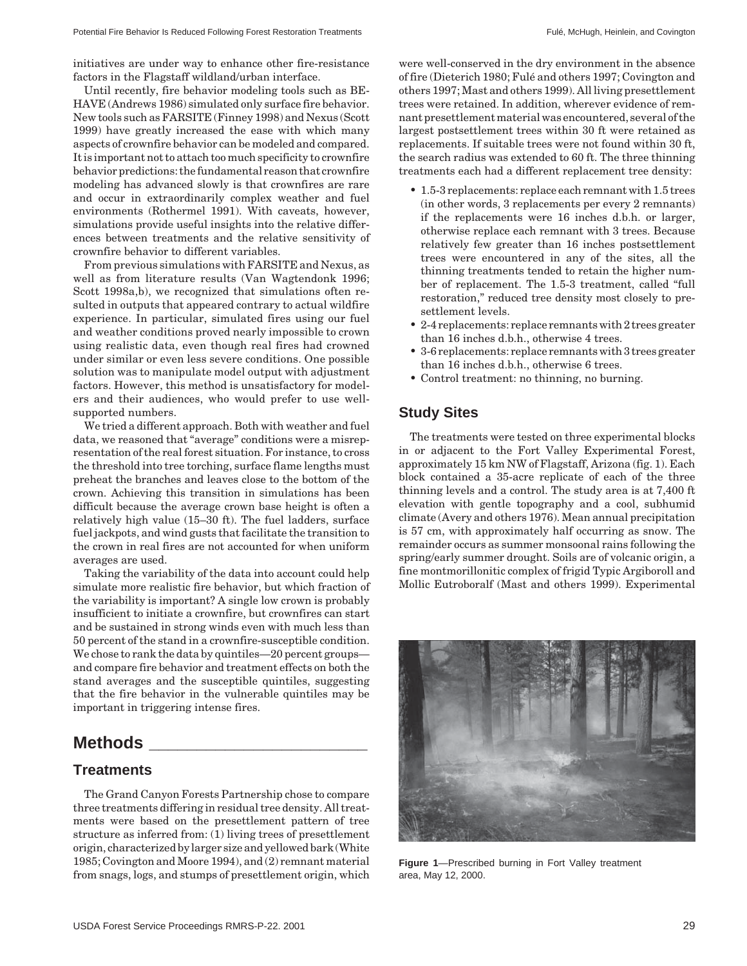initiatives are under way to enhance other fire-resistance factors in the Flagstaff wildland/urban interface.

Until recently, fire behavior modeling tools such as BE-HAVE (Andrews 1986) simulated only surface fire behavior. New tools such as FARSITE (Finney 1998) and Nexus (Scott 1999) have greatly increased the ease with which many aspects of crownfire behavior can be modeled and compared. It is important not to attach too much specificity to crownfire behavior predictions: the fundamental reason that crownfire modeling has advanced slowly is that crownfires are rare and occur in extraordinarily complex weather and fuel environments (Rothermel 1991). With caveats, however, simulations provide useful insights into the relative differences between treatments and the relative sensitivity of crownfire behavior to different variables.

From previous simulations with FARSITE and Nexus, as well as from literature results (Van Wagtendonk 1996; Scott 1998a,b), we recognized that simulations often resulted in outputs that appeared contrary to actual wildfire experience. In particular, simulated fires using our fuel and weather conditions proved nearly impossible to crown using realistic data, even though real fires had crowned under similar or even less severe conditions. One possible solution was to manipulate model output with adjustment factors. However, this method is unsatisfactory for modelers and their audiences, who would prefer to use wellsupported numbers.

We tried a different approach. Both with weather and fuel data, we reasoned that "average" conditions were a misrepresentation of the real forest situation. For instance, to cross the threshold into tree torching, surface flame lengths must preheat the branches and leaves close to the bottom of the crown. Achieving this transition in simulations has been difficult because the average crown base height is often a relatively high value (15–30 ft). The fuel ladders, surface fuel jackpots, and wind gusts that facilitate the transition to the crown in real fires are not accounted for when uniform averages are used.

Taking the variability of the data into account could help simulate more realistic fire behavior, but which fraction of the variability is important? A single low crown is probably insufficient to initiate a crownfire, but crownfires can start and be sustained in strong winds even with much less than 50 percent of the stand in a crownfire-susceptible condition. We chose to rank the data by quintiles—20 percent groups and compare fire behavior and treatment effects on both the stand averages and the susceptible quintiles, suggesting that the fire behavior in the vulnerable quintiles may be important in triggering intense fires.

## **Methods \_\_\_\_\_\_\_\_\_\_\_\_\_\_\_\_\_\_\_\_\_\_\_**

#### **Treatments**

The Grand Canyon Forests Partnership chose to compare three treatments differing in residual tree density. All treatments were based on the presettlement pattern of tree structure as inferred from: (1) living trees of presettlement origin, characterized by larger size and yellowed bark (White 1985; Covington and Moore 1994), and (2) remnant material from snags, logs, and stumps of presettlement origin, which

were well-conserved in the dry environment in the absence of fire (Dieterich 1980; Fulé and others 1997; Covington and others 1997; Mast and others 1999). All living presettlement trees were retained. In addition, wherever evidence of remnant presettlement material was encountered, several of the largest postsettlement trees within 30 ft were retained as replacements. If suitable trees were not found within 30 ft, the search radius was extended to 60 ft. The three thinning treatments each had a different replacement tree density:

- 1.5-3 replacements: replace each remnant with 1.5 trees (in other words, 3 replacements per every 2 remnants) if the replacements were 16 inches d.b.h. or larger, otherwise replace each remnant with 3 trees. Because relatively few greater than 16 inches postsettlement trees were encountered in any of the sites, all the thinning treatments tended to retain the higher number of replacement. The 1.5-3 treatment, called "full restoration," reduced tree density most closely to presettlement levels.
- 2-4 replacements: replace remnants with 2 trees greater than 16 inches d.b.h., otherwise 4 trees.
- 3-6 replacements: replace remnants with 3 trees greater than 16 inches d.b.h., otherwise 6 trees.
- Control treatment: no thinning, no burning.

#### **Study Sites**

The treatments were tested on three experimental blocks in or adjacent to the Fort Valley Experimental Forest, approximately 15 km NW of Flagstaff, Arizona (fig. 1). Each block contained a 35-acre replicate of each of the three thinning levels and a control. The study area is at 7,400 ft elevation with gentle topography and a cool, subhumid climate (Avery and others 1976). Mean annual precipitation is 57 cm, with approximately half occurring as snow. The remainder occurs as summer monsoonal rains following the spring/early summer drought. Soils are of volcanic origin, a fine montmorillonitic complex of frigid Typic Argiboroll and Mollic Eutroboralf (Mast and others 1999). Experimental



**Figure 1**—Prescribed burning in Fort Valley treatment area, May 12, 2000.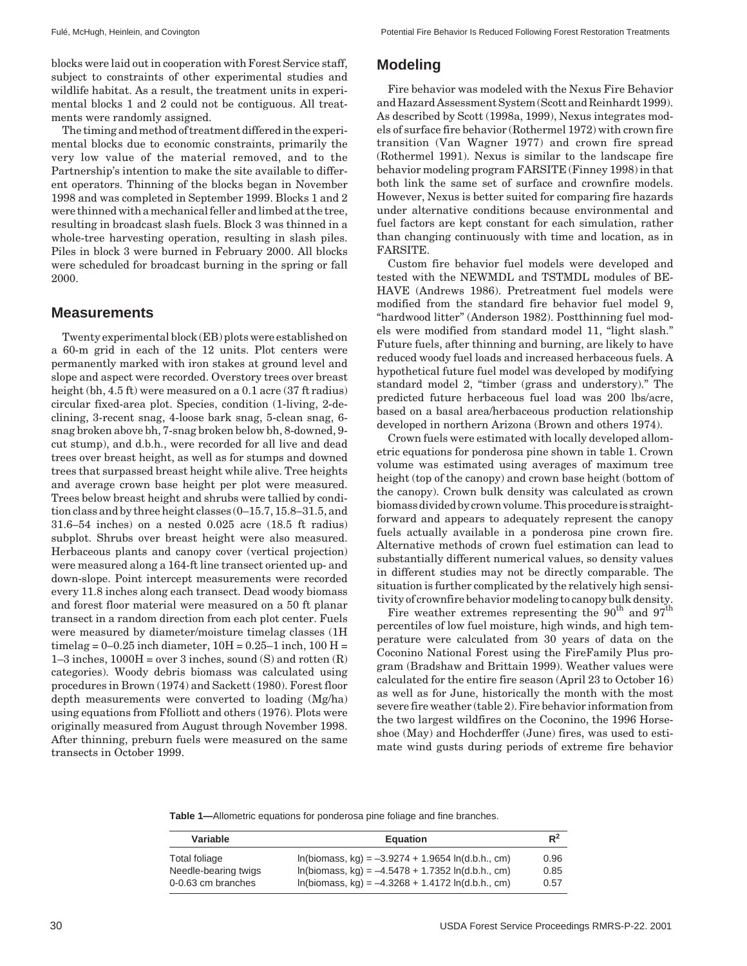blocks were laid out in cooperation with Forest Service staff, subject to constraints of other experimental studies and wildlife habitat. As a result, the treatment units in experimental blocks 1 and 2 could not be contiguous. All treatments were randomly assigned.

The timing and method of treatment differed in the experimental blocks due to economic constraints, primarily the very low value of the material removed, and to the Partnership's intention to make the site available to different operators. Thinning of the blocks began in November 1998 and was completed in September 1999. Blocks 1 and 2 were thinned with a mechanical feller and limbed at the tree, resulting in broadcast slash fuels. Block 3 was thinned in a whole-tree harvesting operation, resulting in slash piles. Piles in block 3 were burned in February 2000. All blocks were scheduled for broadcast burning in the spring or fall 2000.

#### **Measurements**

Twenty experimental block (EB) plots were established on a 60-m grid in each of the 12 units. Plot centers were permanently marked with iron stakes at ground level and slope and aspect were recorded. Overstory trees over breast height (bh, 4.5 ft) were measured on a 0.1 acre (37 ft radius) circular fixed-area plot. Species, condition (1-living, 2-declining, 3-recent snag, 4-loose bark snag, 5-clean snag, 6 snag broken above bh, 7-snag broken below bh, 8-downed, 9 cut stump), and d.b.h., were recorded for all live and dead trees over breast height, as well as for stumps and downed trees that surpassed breast height while alive. Tree heights and average crown base height per plot were measured. Trees below breast height and shrubs were tallied by condition class and by three height classes (0–15.7, 15.8–31.5, and 31.6–54 inches) on a nested 0.025 acre (18.5 ft radius) subplot. Shrubs over breast height were also measured. Herbaceous plants and canopy cover (vertical projection) were measured along a 164-ft line transect oriented up- and down-slope. Point intercept measurements were recorded every 11.8 inches along each transect. Dead woody biomass and forest floor material were measured on a 50 ft planar transect in a random direction from each plot center. Fuels were measured by diameter/moisture timelag classes (1H timelag =  $0-0.25$  inch diameter,  $10H = 0.25-1$  inch,  $100H =$ 1–3 inches,  $1000H = over 3$  inches, sound (S) and rotten  $(R)$ categories). Woody debris biomass was calculated using procedures in Brown (1974) and Sackett (1980). Forest floor depth measurements were converted to loading (Mg/ha) using equations from Ffolliott and others (1976). Plots were originally measured from August through November 1998. After thinning, preburn fuels were measured on the same transects in October 1999.

### **Modeling**

Fire behavior was modeled with the Nexus Fire Behavior and Hazard Assessment System (Scott and Reinhardt 1999). As described by Scott (1998a, 1999), Nexus integrates models of surface fire behavior (Rothermel 1972) with crown fire transition (Van Wagner 1977) and crown fire spread (Rothermel 1991). Nexus is similar to the landscape fire behavior modeling program FARSITE (Finney 1998) in that both link the same set of surface and crownfire models. However, Nexus is better suited for comparing fire hazards under alternative conditions because environmental and fuel factors are kept constant for each simulation, rather than changing continuously with time and location, as in FARSITE.

Custom fire behavior fuel models were developed and tested with the NEWMDL and TSTMDL modules of BE-HAVE (Andrews 1986). Pretreatment fuel models were modified from the standard fire behavior fuel model 9, "hardwood litter" (Anderson 1982). Postthinning fuel models were modified from standard model 11, "light slash." Future fuels, after thinning and burning, are likely to have reduced woody fuel loads and increased herbaceous fuels. A hypothetical future fuel model was developed by modifying standard model 2, "timber (grass and understory)." The predicted future herbaceous fuel load was 200 lbs/acre, based on a basal area/herbaceous production relationship developed in northern Arizona (Brown and others 1974).

Crown fuels were estimated with locally developed allometric equations for ponderosa pine shown in table 1. Crown volume was estimated using averages of maximum tree height (top of the canopy) and crown base height (bottom of the canopy). Crown bulk density was calculated as crown biomass divided by crown volume. This procedure is straightforward and appears to adequately represent the canopy fuels actually available in a ponderosa pine crown fire. Alternative methods of crown fuel estimation can lead to substantially different numerical values, so density values in different studies may not be directly comparable. The situation is further complicated by the relatively high sensitivity of crownfire behavior modeling to canopy bulk density.

Fire weather extremes representing the  $90^{th}$  and  $97^{th}$ percentiles of low fuel moisture, high winds, and high temperature were calculated from 30 years of data on the Coconino National Forest using the FireFamily Plus program (Bradshaw and Brittain 1999). Weather values were calculated for the entire fire season (April 23 to October 16) as well as for June, historically the month with the most severe fire weather (table 2). Fire behavior information from the two largest wildfires on the Coconino, the 1996 Horseshoe (May) and Hochderffer (June) fires, was used to estimate wind gusts during periods of extreme fire behavior

**Table 1—**Allometric equations for ponderosa pine foliage and fine branches.

| Variable                                                    | <b>Equation</b>                                                                                                                                                   | $R^2$                |
|-------------------------------------------------------------|-------------------------------------------------------------------------------------------------------------------------------------------------------------------|----------------------|
| Total foliage<br>Needle-bearing twigs<br>0-0.63 cm branches | $ln(biomass, kq) = -3.9274 + 1.9654 ln(d.b.h., cm)$<br>$ln(biomass, kq) = -4.5478 + 1.7352 ln(d.b.h., cm)$<br>$ln(biomass, kq) = -4.3268 + 1.4172 ln(d.b.h., cm)$ | 0.96<br>0.85<br>0.57 |
|                                                             |                                                                                                                                                                   |                      |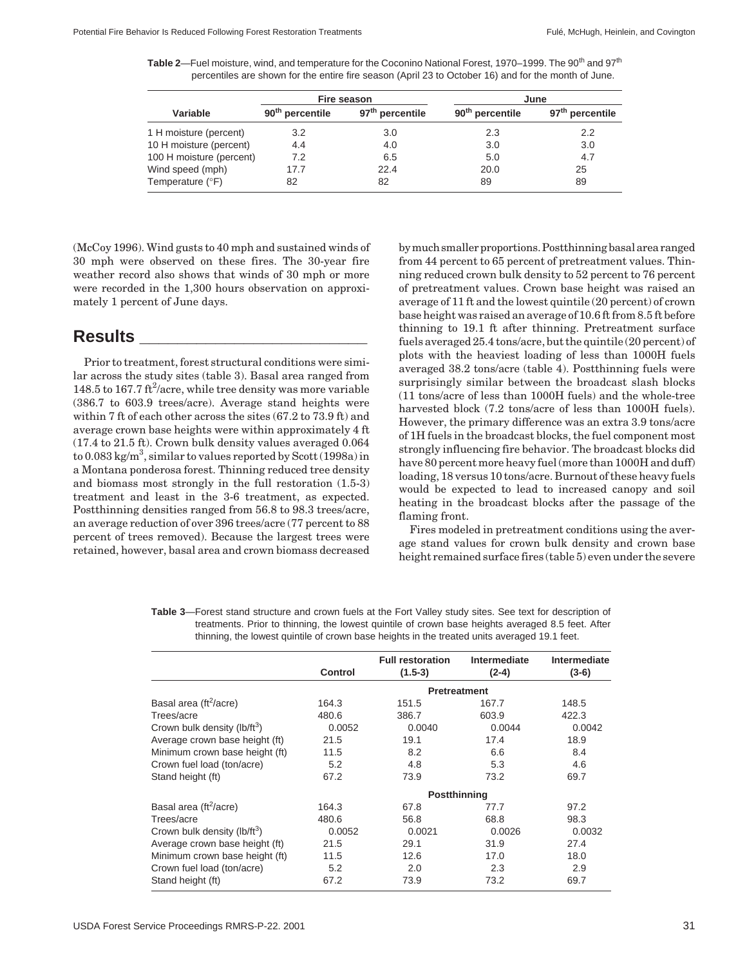**Table 2**—Fuel moisture, wind, and temperature for the Coconino National Forest, 1970–1999. The 90<sup>th</sup> and 97<sup>th</sup> percentiles are shown for the entire fire season (April 23 to October 16) and for the month of June.

|                          |                             | Fire season                 | June                        |                             |  |
|--------------------------|-----------------------------|-----------------------------|-----------------------------|-----------------------------|--|
| Variable                 | 90 <sup>th</sup> percentile | 97 <sup>th</sup> percentile | 90 <sup>th</sup> percentile | 97 <sup>th</sup> percentile |  |
| 1 H moisture (percent)   | 3.2                         | 3.0                         | 2.3                         | 2.2                         |  |
| 10 H moisture (percent)  | 4.4                         | 4.0                         | 3.0                         | 3.0                         |  |
| 100 H moisture (percent) | 7.2                         | 6.5                         | 5.0                         | 4.7                         |  |
| Wind speed (mph)         | 17.7                        | 22.4                        | 20.0                        | 25                          |  |
| Temperature (°F)         | 82                          | 82                          | 89                          | 89                          |  |

(McCoy 1996). Wind gusts to 40 mph and sustained winds of 30 mph were observed on these fires. The 30-year fire weather record also shows that winds of 30 mph or more were recorded in the 1,300 hours observation on approximately 1 percent of June days.

# **Results \_\_\_\_\_\_\_\_\_\_\_\_\_\_\_\_\_\_\_\_\_\_\_\_**

Prior to treatment, forest structural conditions were similar across the study sites (table 3). Basal area ranged from 148.5 to 167.7 ft<sup>2</sup>/acre, while tree density was more variable (386.7 to 603.9 trees/acre). Average stand heights were within 7 ft of each other across the sites (67.2 to 73.9 ft) and average crown base heights were within approximately 4 ft (17.4 to 21.5 ft). Crown bulk density values averaged 0.064 to 0.083 kg/m<sup>3</sup>, similar to values reported by Scott (1998a) in a Montana ponderosa forest. Thinning reduced tree density and biomass most strongly in the full restoration (1.5-3) treatment and least in the 3-6 treatment, as expected. Postthinning densities ranged from 56.8 to 98.3 trees/acre, an average reduction of over 396 trees/acre (77 percent to 88 percent of trees removed). Because the largest trees were retained, however, basal area and crown biomass decreased by much smaller proportions. Postthinning basal area ranged from 44 percent to 65 percent of pretreatment values. Thinning reduced crown bulk density to 52 percent to 76 percent of pretreatment values. Crown base height was raised an average of 11 ft and the lowest quintile (20 percent) of crown base height was raised an average of 10.6 ft from 8.5 ft before thinning to 19.1 ft after thinning. Pretreatment surface fuels averaged 25.4 tons/acre, but the quintile (20 percent) of plots with the heaviest loading of less than 1000H fuels averaged 38.2 tons/acre (table 4). Postthinning fuels were surprisingly similar between the broadcast slash blocks (11 tons/acre of less than 1000H fuels) and the whole-tree harvested block (7.2 tons/acre of less than 1000H fuels). However, the primary difference was an extra 3.9 tons/acre of 1H fuels in the broadcast blocks, the fuel component most strongly influencing fire behavior. The broadcast blocks did have 80 percent more heavy fuel (more than 1000H and duff) loading, 18 versus 10 tons/acre. Burnout of these heavy fuels would be expected to lead to increased canopy and soil heating in the broadcast blocks after the passage of the flaming front.

Fires modeled in pretreatment conditions using the average stand values for crown bulk density and crown base height remained surface fires (table 5) even under the severe

|                                          | Control             | <b>Full restoration</b><br>$(1.5-3)$ | <b>Intermediate</b><br>$(2-4)$ | <b>Intermediate</b><br>$(3-6)$ |  |  |  |
|------------------------------------------|---------------------|--------------------------------------|--------------------------------|--------------------------------|--|--|--|
|                                          |                     | <b>Pretreatment</b>                  |                                |                                |  |  |  |
| Basal area (ft <sup>2</sup> /acre)       | 164.3               | 151.5                                | 167.7                          | 148.5                          |  |  |  |
| Trees/acre                               | 480.6               | 386.7                                | 603.9                          | 422.3                          |  |  |  |
| Crown bulk density (lb/ft <sup>3</sup> ) | 0.0052              | 0.0040                               | 0.0044                         | 0.0042                         |  |  |  |
| Average crown base height (ft)           | 21.5                | 19.1                                 | 17.4                           | 18.9                           |  |  |  |
| Minimum crown base height (ft)           | 11.5                | 8.2                                  | 6.6                            | 8.4                            |  |  |  |
| Crown fuel load (ton/acre)               | 5.2                 | 4.8                                  | 5.3                            | 4.6                            |  |  |  |
| Stand height (ft)                        | 67.2                | 73.9                                 | 73.2                           | 69.7                           |  |  |  |
|                                          | <b>Postthinning</b> |                                      |                                |                                |  |  |  |
| Basal area (ft <sup>2</sup> /acre)       | 164.3               | 67.8                                 | 77.7                           | 97.2                           |  |  |  |
| Trees/acre                               | 480.6               | 56.8                                 | 68.8                           | 98.3                           |  |  |  |
| Crown bulk density (lb/ft <sup>3</sup> ) | 0.0052              | 0.0021                               | 0.0026                         | 0.0032                         |  |  |  |
| Average crown base height (ft)           | 21.5                | 29.1                                 | 31.9                           | 27.4                           |  |  |  |
| Minimum crown base height (ft)           | 11.5                | 12.6                                 | 17.0                           | 18.0                           |  |  |  |
| Crown fuel load (ton/acre)               | 5.2                 | 2.0                                  | 2.3                            | 2.9                            |  |  |  |
| Stand height (ft)                        | 67.2                | 73.9                                 | 73.2                           | 69.7                           |  |  |  |

**Table 3**—Forest stand structure and crown fuels at the Fort Valley study sites. See text for description of treatments. Prior to thinning, the lowest quintile of crown base heights averaged 8.5 feet. After thinning, the lowest quintile of crown base heights in the treated units averaged 19.1 feet.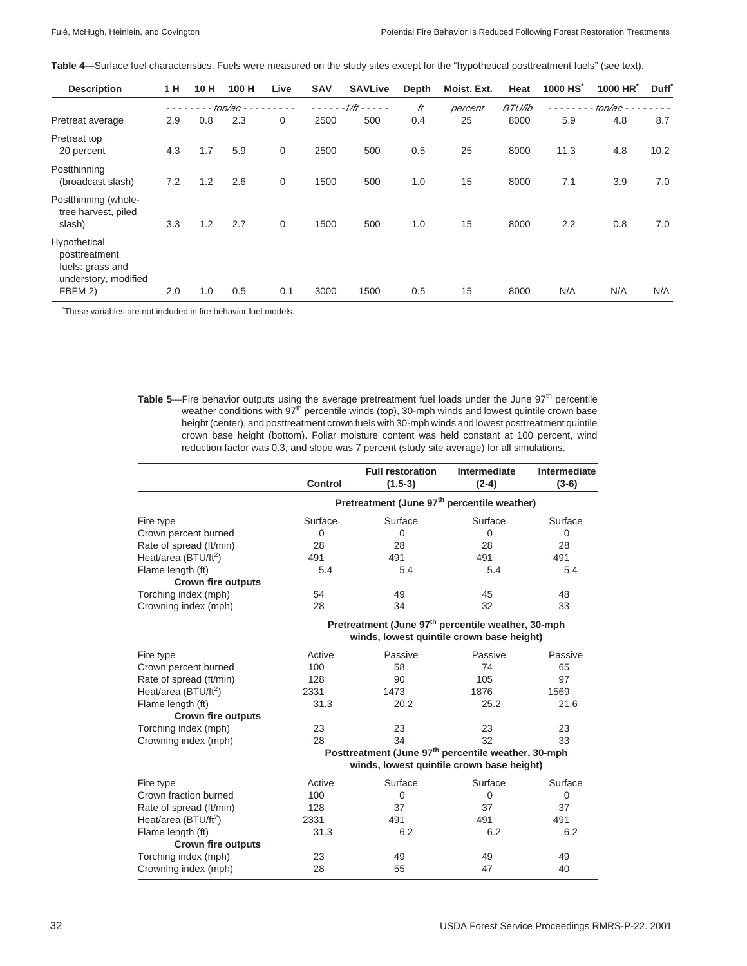| Table 4—Surface fuel characteristics. Fuels were measured on the study sites except for the "hypothetical posttreatment fuels" (see text). |  |  |  |
|--------------------------------------------------------------------------------------------------------------------------------------------|--|--|--|
|--------------------------------------------------------------------------------------------------------------------------------------------|--|--|--|

| <b>Description</b>                                                                   | 1 H | 10H | 100 H    | Live  | <b>SAV</b> | <b>SAVLive</b>    | Depth | Moist. Ext. | Heat          | 1000 HS* | 1000 HR*   | Duff <sup>*</sup> |
|--------------------------------------------------------------------------------------|-----|-----|----------|-------|------------|-------------------|-------|-------------|---------------|----------|------------|-------------------|
|                                                                                      |     |     | ton/ac - | - - - | $- - -$    | $-1/ft - - - - -$ | ft    | percent     | <b>BTU/lb</b> |          | $ton$ ac - |                   |
| Pretreat average                                                                     | 2.9 | 0.8 | 2.3      | 0     | 2500       | 500               | 0.4   | 25          | 8000          | 5.9      | 4.8        | 8.7               |
| Pretreat top<br>20 percent                                                           | 4.3 | 1.7 | 5.9      | 0     | 2500       | 500               | 0.5   | 25          | 8000          | 11.3     | 4.8        | 10.2              |
| Postthinning<br>(broadcast slash)                                                    | 7.2 | 1.2 | 2.6      | 0     | 1500       | 500               | 1.0   | 15          | 8000          | 7.1      | 3.9        | 7.0               |
| Postthinning (whole-<br>tree harvest, piled<br>slash)                                | 3.3 | 1.2 | 2.7      | 0     | 1500       | 500               | 1.0   | 15          | 8000          | 2.2      | 0.8        | 7.0               |
| Hypothetical<br>posttreatment<br>fuels: grass and<br>understory, modified<br>FBFM 2) | 2.0 | 1.0 | 0.5      | 0.1   | 3000       | 1500              | 0.5   | 15          | 8000          | N/A      | N/A        | N/A               |

\* These variables are not included in fire behavior fuel models.

**Table 5—Fire behavior outputs using the average pretreatment fuel loads under the June 97<sup>th</sup> percentile** weather conditions with 97<sup>th</sup> percentile winds (top), 30-mph winds and lowest quintile crown base height (center), and posttreatment crown fuels with 30-mph winds and lowest posttreatment quintile crown base height (bottom). Foliar moisture content was held constant at 100 percent, wind reduction factor was 0.3, and slope was 7 percent (study site average) for all simulations.

|                                  | <b>Control</b>                                          | <b>Full restoration</b><br>$(1.5-3)$                                                                        | Intermediate<br>$(2-4)$ | Intermediate<br>$(3-6)$ |  |  |
|----------------------------------|---------------------------------------------------------|-------------------------------------------------------------------------------------------------------------|-------------------------|-------------------------|--|--|
|                                  | Pretreatment (June 97 <sup>th</sup> percentile weather) |                                                                                                             |                         |                         |  |  |
| Fire type                        | Surface                                                 | Surface                                                                                                     | Surface                 | Surface                 |  |  |
| Crown percent burned             | $\mathbf 0$                                             | $\mathbf 0$                                                                                                 | $\mathbf 0$             | $\mathbf 0$             |  |  |
| Rate of spread (ft/min)          | 28                                                      | 28                                                                                                          | 28                      | 28                      |  |  |
| Heat/area (BTU/ft <sup>2</sup> ) | 491                                                     | 491                                                                                                         | 491                     | 491                     |  |  |
| Flame length (ft)                | 5.4                                                     | 5.4                                                                                                         | 5.4                     | 5.4                     |  |  |
| <b>Crown fire outputs</b>        |                                                         |                                                                                                             |                         |                         |  |  |
| Torching index (mph)             | 54                                                      | 49                                                                                                          | 45                      | 48                      |  |  |
| Crowning index (mph)             | 28                                                      | 34                                                                                                          | 32                      | 33                      |  |  |
|                                  |                                                         | Pretreatment (June 97 <sup>th</sup> percentile weather, 30-mph<br>winds, lowest quintile crown base height) |                         |                         |  |  |
|                                  |                                                         |                                                                                                             |                         |                         |  |  |
| Fire type                        | Active                                                  | Passive                                                                                                     | Passive                 | Passive                 |  |  |
| Crown percent burned             | 100                                                     | 58                                                                                                          | 74                      | 65                      |  |  |
| Rate of spread (ft/min)          | 128                                                     | 90                                                                                                          | 105                     | 97                      |  |  |
| Heat/area (BTU/ft <sup>2</sup> ) | 2331                                                    | 1473                                                                                                        | 1876                    | 1569                    |  |  |
| Flame length (ft)                | 31.3                                                    | 20.2                                                                                                        | 25.2                    | 21.6                    |  |  |
| <b>Crown fire outputs</b>        |                                                         |                                                                                                             |                         |                         |  |  |
| Torching index (mph)             | 23                                                      | 23                                                                                                          | 23                      | 23                      |  |  |
| Crowning index (mph)             | 28                                                      | 34                                                                                                          | 32                      | 33                      |  |  |
|                                  |                                                         | Posttreatment (June 97 <sup>th</sup> percentile weather, 30-mph                                             |                         |                         |  |  |
|                                  |                                                         | winds, lowest quintile crown base height)                                                                   |                         |                         |  |  |
| Fire type                        | Active                                                  | Surface                                                                                                     | Surface                 | Surface                 |  |  |
| Crown fraction burned            | 100                                                     | $\Omega$                                                                                                    | $\Omega$                | $\mathbf 0$             |  |  |
| Rate of spread (ft/min)          | 128                                                     | 37                                                                                                          | 37                      | 37                      |  |  |
| Heat/area (BTU/ft <sup>2</sup> ) | 2331                                                    | 491                                                                                                         | 491                     | 491                     |  |  |
| Flame length (ft)                | 31.3                                                    | 6.2                                                                                                         | 6.2                     | 6.2                     |  |  |
| <b>Crown fire outputs</b>        |                                                         |                                                                                                             |                         |                         |  |  |
| Torching index (mph)             | 23                                                      | 49                                                                                                          | 49                      | 49                      |  |  |
| Crowning index (mph)             | 28                                                      | 55                                                                                                          | 47                      | 40                      |  |  |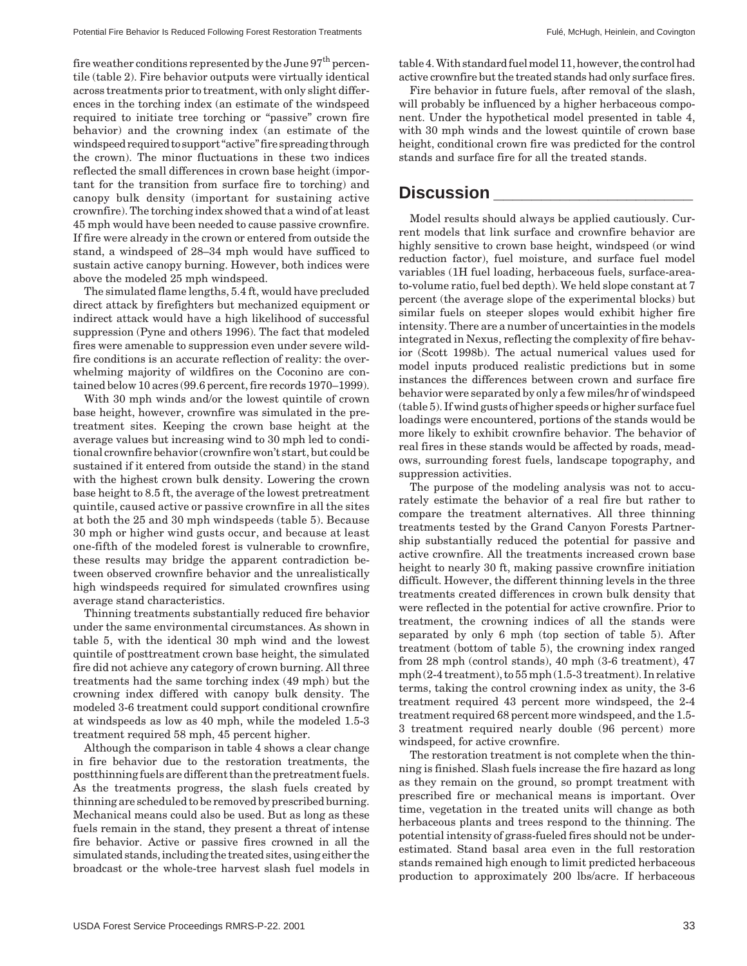fire weather conditions represented by the June  $97^{\rm th}$  percentile (table 2). Fire behavior outputs were virtually identical across treatments prior to treatment, with only slight differences in the torching index (an estimate of the windspeed required to initiate tree torching or "passive" crown fire behavior) and the crowning index (an estimate of the windspeed required to support "active" fire spreading through the crown). The minor fluctuations in these two indices reflected the small differences in crown base height (important for the transition from surface fire to torching) and canopy bulk density (important for sustaining active crownfire). The torching index showed that a wind of at least 45 mph would have been needed to cause passive crownfire. If fire were already in the crown or entered from outside the stand, a windspeed of 28–34 mph would have sufficed to sustain active canopy burning. However, both indices were above the modeled 25 mph windspeed.

The simulated flame lengths, 5.4 ft, would have precluded direct attack by firefighters but mechanized equipment or indirect attack would have a high likelihood of successful suppression (Pyne and others 1996). The fact that modeled fires were amenable to suppression even under severe wildfire conditions is an accurate reflection of reality: the overwhelming majority of wildfires on the Coconino are contained below 10 acres (99.6 percent, fire records 1970–1999).

With 30 mph winds and/or the lowest quintile of crown base height, however, crownfire was simulated in the pretreatment sites. Keeping the crown base height at the average values but increasing wind to 30 mph led to conditional crownfire behavior (crownfire won't start, but could be sustained if it entered from outside the stand) in the stand with the highest crown bulk density. Lowering the crown base height to 8.5 ft, the average of the lowest pretreatment quintile, caused active or passive crownfire in all the sites at both the 25 and 30 mph windspeeds (table 5). Because 30 mph or higher wind gusts occur, and because at least one-fifth of the modeled forest is vulnerable to crownfire, these results may bridge the apparent contradiction between observed crownfire behavior and the unrealistically high windspeeds required for simulated crownfires using average stand characteristics.

Thinning treatments substantially reduced fire behavior under the same environmental circumstances. As shown in table 5, with the identical 30 mph wind and the lowest quintile of posttreatment crown base height, the simulated fire did not achieve any category of crown burning. All three treatments had the same torching index (49 mph) but the crowning index differed with canopy bulk density. The modeled 3-6 treatment could support conditional crownfire at windspeeds as low as 40 mph, while the modeled 1.5-3 treatment required 58 mph, 45 percent higher.

Although the comparison in table 4 shows a clear change in fire behavior due to the restoration treatments, the postthinning fuels are different than the pretreatment fuels. As the treatments progress, the slash fuels created by thinning are scheduled to be removed by prescribed burning. Mechanical means could also be used. But as long as these fuels remain in the stand, they present a threat of intense fire behavior. Active or passive fires crowned in all the simulated stands, including the treated sites, using either the broadcast or the whole-tree harvest slash fuel models in table 4. With standard fuel model 11, however, the control had active crownfire but the treated stands had only surface fires.

Fire behavior in future fuels, after removal of the slash, will probably be influenced by a higher herbaceous component. Under the hypothetical model presented in table 4, with 30 mph winds and the lowest quintile of crown base height, conditional crown fire was predicted for the control stands and surface fire for all the treated stands.

### **Discussion \_\_\_\_\_\_\_\_\_\_\_\_\_\_\_\_\_\_\_\_\_**

Model results should always be applied cautiously. Current models that link surface and crownfire behavior are highly sensitive to crown base height, windspeed (or wind reduction factor), fuel moisture, and surface fuel model variables (1H fuel loading, herbaceous fuels, surface-areato-volume ratio, fuel bed depth). We held slope constant at 7 percent (the average slope of the experimental blocks) but similar fuels on steeper slopes would exhibit higher fire intensity. There are a number of uncertainties in the models integrated in Nexus, reflecting the complexity of fire behavior (Scott 1998b). The actual numerical values used for model inputs produced realistic predictions but in some instances the differences between crown and surface fire behavior were separated by only a few miles/hr of windspeed (table 5). If wind gusts of higher speeds or higher surface fuel loadings were encountered, portions of the stands would be more likely to exhibit crownfire behavior. The behavior of real fires in these stands would be affected by roads, meadows, surrounding forest fuels, landscape topography, and suppression activities.

The purpose of the modeling analysis was not to accurately estimate the behavior of a real fire but rather to compare the treatment alternatives. All three thinning treatments tested by the Grand Canyon Forests Partnership substantially reduced the potential for passive and active crownfire. All the treatments increased crown base height to nearly 30 ft, making passive crownfire initiation difficult. However, the different thinning levels in the three treatments created differences in crown bulk density that were reflected in the potential for active crownfire. Prior to treatment, the crowning indices of all the stands were separated by only 6 mph (top section of table 5). After treatment (bottom of table 5), the crowning index ranged from 28 mph (control stands), 40 mph (3-6 treatment), 47 mph (2-4 treatment), to 55 mph (1.5-3 treatment). In relative terms, taking the control crowning index as unity, the 3-6 treatment required 43 percent more windspeed, the 2-4 treatment required 68 percent more windspeed, and the 1.5- 3 treatment required nearly double (96 percent) more windspeed, for active crownfire.

The restoration treatment is not complete when the thinning is finished. Slash fuels increase the fire hazard as long as they remain on the ground, so prompt treatment with prescribed fire or mechanical means is important. Over time, vegetation in the treated units will change as both herbaceous plants and trees respond to the thinning. The potential intensity of grass-fueled fires should not be underestimated. Stand basal area even in the full restoration stands remained high enough to limit predicted herbaceous production to approximately 200 lbs/acre. If herbaceous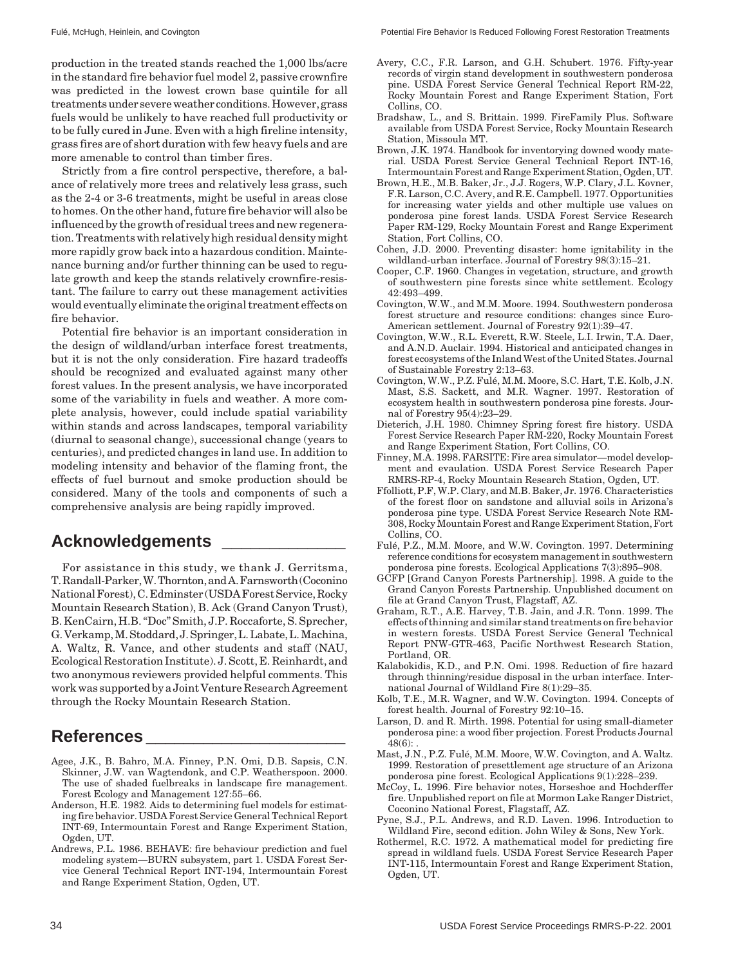production in the treated stands reached the 1,000 lbs/acre in the standard fire behavior fuel model 2, passive crownfire was predicted in the lowest crown base quintile for all treatments under severe weather conditions. However, grass fuels would be unlikely to have reached full productivity or to be fully cured in June. Even with a high fireline intensity, grass fires are of short duration with few heavy fuels and are more amenable to control than timber fires.

Strictly from a fire control perspective, therefore, a balance of relatively more trees and relatively less grass, such as the 2-4 or 3-6 treatments, might be useful in areas close to homes. On the other hand, future fire behavior will also be influenced by the growth of residual trees and new regeneration. Treatments with relatively high residual density might more rapidly grow back into a hazardous condition. Maintenance burning and/or further thinning can be used to regulate growth and keep the stands relatively crownfire-resistant. The failure to carry out these management activities would eventually eliminate the original treatment effects on fire behavior.

Potential fire behavior is an important consideration in the design of wildland/urban interface forest treatments, but it is not the only consideration. Fire hazard tradeoffs should be recognized and evaluated against many other forest values. In the present analysis, we have incorporated some of the variability in fuels and weather. A more complete analysis, however, could include spatial variability within stands and across landscapes, temporal variability (diurnal to seasonal change), successional change (years to centuries), and predicted changes in land use. In addition to modeling intensity and behavior of the flaming front, the effects of fuel burnout and smoke production should be considered. Many of the tools and components of such a comprehensive analysis are being rapidly improved.

## **Acknowledgements \_\_\_\_\_\_\_\_\_\_\_\_\_**

For assistance in this study, we thank J. Gerritsma, T. Randall-Parker, W. Thornton, and A. Farnsworth (Coconino National Forest), C. Edminster (USDA Forest Service, Rocky Mountain Research Station), B. Ack (Grand Canyon Trust), B. KenCairn, H.B. "Doc" Smith, J.P. Roccaforte, S. Sprecher, G. Verkamp, M. Stoddard, J. Springer, L. Labate, L. Machina, A. Waltz, R. Vance, and other students and staff (NAU, Ecological Restoration Institute). J. Scott, E. Reinhardt, and two anonymous reviewers provided helpful comments. This work was supported by a Joint Venture Research Agreement through the Rocky Mountain Research Station.

### **References \_\_\_\_\_\_\_\_\_\_\_\_\_\_\_\_\_\_\_\_\_**

- Agee, J.K., B. Bahro, M.A. Finney, P.N. Omi, D.B. Sapsis, C.N. Skinner, J.W. van Wagtendonk, and C.P. Weatherspoon. 2000. The use of shaded fuelbreaks in landscape fire management. Forest Ecology and Management 127:55–66.
- Anderson, H.E. 1982. Aids to determining fuel models for estimating fire behavior. USDA Forest Service General Technical Report INT-69, Intermountain Forest and Range Experiment Station, Ogden, UT.
- Andrews, P.L. 1986. BEHAVE: fire behaviour prediction and fuel modeling system—BURN subsystem, part 1. USDA Forest Service General Technical Report INT-194, Intermountain Forest and Range Experiment Station, Ogden, UT.
- Avery, C.C., F.R. Larson, and G.H. Schubert. 1976. Fifty-year records of virgin stand development in southwestern ponderosa pine. USDA Forest Service General Technical Report RM-22, Rocky Mountain Forest and Range Experiment Station, Fort Collins, CO.
- Bradshaw, L., and S. Brittain. 1999. FireFamily Plus. Software available from USDA Forest Service, Rocky Mountain Research Station, Missoula MT.
- Brown, J.K. 1974. Handbook for inventorying downed woody material. USDA Forest Service General Technical Report INT-16, Intermountain Forest and Range Experiment Station, Ogden, UT.
- Brown, H.E., M.B. Baker, Jr., J.J. Rogers, W.P. Clary, J.L. Kovner, F.R. Larson, C.C. Avery, and R.E. Campbell. 1977. Opportunities for increasing water yields and other multiple use values on ponderosa pine forest lands. USDA Forest Service Research Paper RM-129, Rocky Mountain Forest and Range Experiment Station, Fort Collins, CO.
- Cohen, J.D. 2000. Preventing disaster: home ignitability in the wildland-urban interface. Journal of Forestry 98(3):15–21.
- Cooper, C.F. 1960. Changes in vegetation, structure, and growth of southwestern pine forests since white settlement. Ecology 42:493–499.
- Covington, W.W., and M.M. Moore. 1994. Southwestern ponderosa forest structure and resource conditions: changes since Euro-American settlement. Journal of Forestry 92(1):39–47.
- Covington, W.W., R.L. Everett, R.W. Steele, L.I. Irwin, T.A. Daer, and A.N.D. Auclair. 1994. Historical and anticipated changes in forest ecosystems of the Inland West of the United States. Journal of Sustainable Forestry 2:13–63.
- Covington, W.W., P.Z. Fulé, M.M. Moore, S.C. Hart, T.E. Kolb, J.N. Mast, S.S. Sackett, and M.R. Wagner. 1997. Restoration of ecosystem health in southwestern ponderosa pine forests. Journal of Forestry 95(4):23–29.
- Dieterich, J.H. 1980. Chimney Spring forest fire history. USDA Forest Service Research Paper RM-220, Rocky Mountain Forest and Range Experiment Station, Fort Collins, CO.
- Finney, M.A. 1998. FARSITE: Fire area simulator—model development and evaulation. USDA Forest Service Research Paper RMRS-RP-4, Rocky Mountain Research Station, Ogden, UT.
- Ffolliott, P.F, W.P. Clary, and M.B. Baker, Jr. 1976. Characteristics of the forest floor on sandstone and alluvial soils in Arizona's ponderosa pine type. USDA Forest Service Research Note RM-308, Rocky Mountain Forest and Range Experiment Station, Fort Collins, CO.
- Fulé, P.Z., M.M. Moore, and W.W. Covington. 1997. Determining reference conditions for ecosystem management in southwestern ponderosa pine forests. Ecological Applications 7(3):895–908.
- GCFP [Grand Canyon Forests Partnership]. 1998. A guide to the Grand Canyon Forests Partnership. Unpublished document on file at Grand Canyon Trust, Flagstaff, AZ.
- Graham, R.T., A.E. Harvey, T.B. Jain, and J.R. Tonn. 1999. The effects of thinning and similar stand treatments on fire behavior in western forests. USDA Forest Service General Technical Report PNW-GTR-463, Pacific Northwest Research Station, Portland, OR.
- Kalabokidis, K.D., and P.N. Omi. 1998. Reduction of fire hazard through thinning/residue disposal in the urban interface. International Journal of Wildland Fire 8(1):29–35.
- Kolb, T.E., M.R. Wagner, and W.W. Covington. 1994. Concepts of forest health. Journal of Forestry 92:10–15.
- Larson, D. and R. Mirth. 1998. Potential for using small-diameter ponderosa pine: a wood fiber projection. Forest Products Journal  $48(6)$ :
- Mast, J.N., P.Z. Fulé, M.M. Moore, W.W. Covington, and A. Waltz. 1999. Restoration of presettlement age structure of an Arizona ponderosa pine forest. Ecological Applications 9(1):228–239.
- McCoy, L. 1996. Fire behavior notes, Horseshoe and Hochderffer fire. Unpublished report on file at Mormon Lake Ranger District, Coconino National Forest, Flagstaff, AZ.
- Pyne, S.J., P.L. Andrews, and R.D. Laven. 1996. Introduction to Wildland Fire, second edition. John Wiley & Sons, New York.
- Rothermel, R.C. 1972. A mathematical model for predicting fire spread in wildland fuels. USDA Forest Service Research Paper INT-115, Intermountain Forest and Range Experiment Station, Ogden, UT.